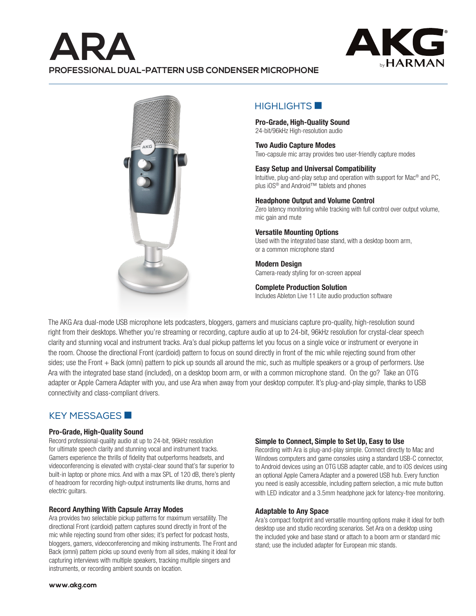# **ARA PROFESSIONAL DUAL-PATTERN USB CONDENSER MICROPHONE**





# $HIGHI$  IGHTS  $\blacksquare$

**Pro-Grade, High-Quality Sound** 24-bit/96kHz High-resolution audio

### **Two Audio Capture Modes**

Two-capsule mic array provides two user-friendly capture modes

### **Easy Setup and Universal Compatibility**

Intuitive, plug-and-play setup and operation with support for Mac® and PC, plus iOS<sup>®</sup> and Android™ tablets and phones

#### **Headphone Output and Volume Control**

Zero latency monitoring while tracking with full control over output volume, mic gain and mute

## **Versatile Mounting Options**

Used with the integrated base stand, with a desktop boom arm, or a common microphone stand

**Modern Design**  Camera-ready styling for on-screen appeal

## **Complete Production Solution**

Includes Ableton Live 11 Lite audio production software

The AKG Ara dual-mode USB microphone lets podcasters, bloggers, gamers and musicians capture pro-quality, high-resolution sound right from their desktops. Whether you're streaming or recording, capture audio at up to 24-bit, 96kHz resolution for crystal-clear speech clarity and stunning vocal and instrument tracks. Ara's dual pickup patterns let you focus on a single voice or instrument or everyone in the room. Choose the directional Front (cardioid) pattern to focus on sound directly in front of the mic while rejecting sound from other sides; use the Front + Back (omni) pattern to pick up sounds all around the mic, such as multiple speakers or a group of performers. Use Ara with the integrated base stand (included), on a desktop boom arm, or with a common microphone stand. On the go? Take an OTG adapter or Apple Camera Adapter with you, and use Ara when away from your desktop computer. It's plug-and-play simple, thanks to USB connectivity and class-compliant drivers.

## KEY MESSAGES

#### **Pro-Grade, High-Quality Sound**

Record professional-quality audio at up to 24-bit, 96kHz resolution for ultimate speech clarity and stunning vocal and instrument tracks. Gamers experience the thrills of fidelity that outperforms headsets, and videoconferencing is elevated with crystal-clear sound that's far superior to built-in laptop or phone mics. And with a max SPL of 120 dB, there's plenty of headroom for recording high-output instruments like drums, horns and electric guitars.

#### **Record Anything With Capsule Array Modes**

Ara provides two selectable pickup patterns for maximum versatility. The directional Front (cardioid) pattern captures sound directly in front of the mic while rejecting sound from other sides; it's perfect for podcast hosts, bloggers, gamers, videoconferencing and miking instruments. The Front and Back (omni) pattern picks up sound evenly from all sides, making it ideal for capturing interviews with multiple speakers, tracking multiple singers and instruments, or recording ambient sounds on location.

#### **Simple to Connect, Simple to Set Up, Easy to Use**

Recording with Ara is plug-and-play simple. Connect directly to Mac and Windows computers and game consoles using a standard USB-C connector, to Android devices using an OTG USB adapter cable, and to iOS devices using an optional Apple Camera Adapter and a powered USB hub. Every function you need is easily accessible, including pattern selection, a mic mute button with LED indicator and a 3.5mm headphone jack for latency-free monitoring.

#### **Adaptable to Any Space**

Ara's compact footprint and versatile mounting options make it ideal for both desktop use and studio recording scenarios. Set Ara on a desktop using the included yoke and base stand or attach to a boom arm or standard mic stand; use the included adapter for European mic stands.